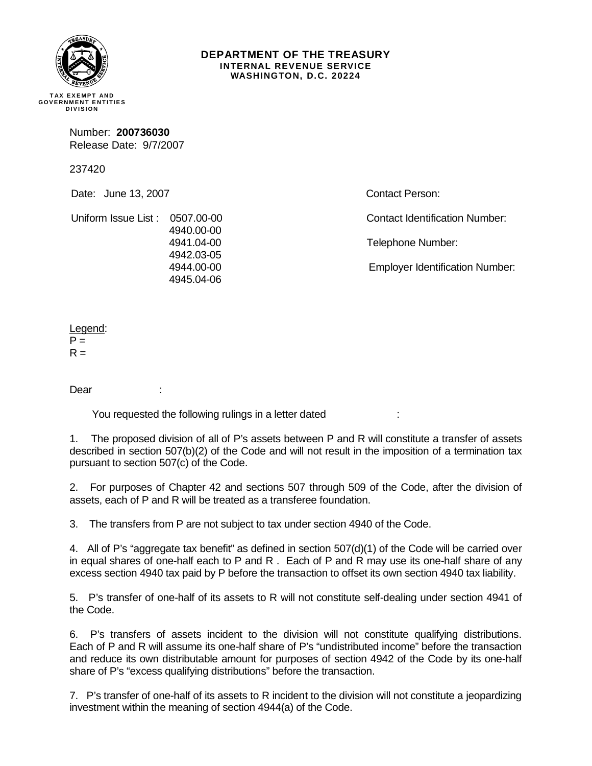

## **DEPARTMENT OF THE TREASURY INTERNAL REVENUE SERVICE WASHINGTON, D.C. 20224**

**TAX EXEMPT AND GOVERNMENT ENTITIES DIVISION** 

> Number: **200736030**  Release Date: 9/7/2007

237420

Date: June 13, 2007

Contact Person:

Uniform Issue List : 0507.00-00 4940.00-00 4941.04-00 4942.03-05 4944.00-00 4945.04-06

Telephone Number:

Employer Identification Number:

Contact Identification Number:

Legend:  $P =$  $R =$ 

Dear :

You requested the following rulings in a letter dated

1. The proposed division of all of P's assets between P and R will constitute a transfer of assets described in section 507(b)(2) of the Code and will not result in the imposition of a termination tax pursuant to section 507(c) of the Code.

2. For purposes of Chapter 42 and sections 507 through 509 of the Code, after the division of assets, each of P and R will be treated as a transferee foundation.

3. The transfers from P are not subject to tax under section 4940 of the Code.

4. All of P's "aggregate tax benefit" as defined in section 507(d)(1) of the Code will be carried over in equal shares of one-half each to P and R . Each of P and R may use its one-half share of any excess section 4940 tax paid by P before the transaction to offset its own section 4940 tax liability.

5. P's transfer of one-half of its assets to R will not constitute self-dealing under section 4941 of the Code.

6. P's transfers of assets incident to the division will not constitute qualifying distributions. Each of P and R will assume its one-half share of P's "undistributed income" before the transaction and reduce its own distributable amount for purposes of section 4942 of the Code by its one-half share of P's "excess qualifying distributions" before the transaction.

7. P's transfer of one-half of its assets to R incident to the division will not constitute a jeopardizing investment within the meaning of section 4944(a) of the Code.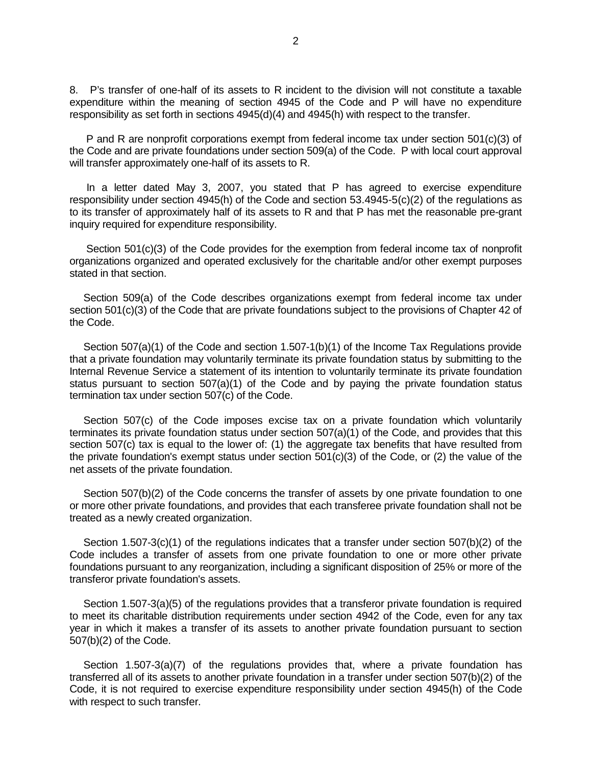8. P's transfer of one-half of its assets to R incident to the division will not constitute a taxable expenditure within the meaning of section 4945 of the Code and P will have no expenditure responsibility as set forth in sections 4945(d)(4) and 4945(h) with respect to the transfer.

 P and R are nonprofit corporations exempt from federal income tax under section 501(c)(3) of the Code and are private foundations under section 509(a) of the Code. P with local court approval will transfer approximately one-half of its assets to R.

 In a letter dated May 3, 2007, you stated that P has agreed to exercise expenditure responsibility under section 4945(h) of the Code and section 53.4945-5(c)(2) of the regulations as to its transfer of approximately half of its assets to R and that P has met the reasonable pre-grant inquiry required for expenditure responsibility.

Section 501(c)(3) of the Code provides for the exemption from federal income tax of nonprofit organizations organized and operated exclusively for the charitable and/or other exempt purposes stated in that section.

 Section 509(a) of the Code describes organizations exempt from federal income tax under section 501(c)(3) of the Code that are private foundations subject to the provisions of Chapter 42 of the Code.

 Section 507(a)(1) of the Code and section 1.507-1(b)(1) of the Income Tax Regulations provide that a private foundation may voluntarily terminate its private foundation status by submitting to the Internal Revenue Service a statement of its intention to voluntarily terminate its private foundation status pursuant to section  $507(a)(1)$  of the Code and by paying the private foundation status termination tax under section 507(c) of the Code.

Section 507(c) of the Code imposes excise tax on a private foundation which voluntarily terminates its private foundation status under section 507(a)(1) of the Code, and provides that this section 507(c) tax is equal to the lower of: (1) the aggregate tax benefits that have resulted from the private foundation's exempt status under section  $501(c)(3)$  of the Code, or (2) the value of the net assets of the private foundation.

Section 507(b)(2) of the Code concerns the transfer of assets by one private foundation to one or more other private foundations, and provides that each transferee private foundation shall not be treated as a newly created organization.

 Section 1.507-3(c)(1) of the regulations indicates that a transfer under section 507(b)(2) of the Code includes a transfer of assets from one private foundation to one or more other private foundations pursuant to any reorganization, including a significant disposition of 25% or more of the transferor private foundation's assets.

Section 1.507-3(a)(5) of the regulations provides that a transferor private foundation is required to meet its charitable distribution requirements under section 4942 of the Code, even for any tax year in which it makes a transfer of its assets to another private foundation pursuant to section 507(b)(2) of the Code.

 Section 1.507-3(a)(7) of the regulations provides that, where a private foundation has transferred all of its assets to another private foundation in a transfer under section 507(b)(2) of the Code, it is not required to exercise expenditure responsibility under section 4945(h) of the Code with respect to such transfer.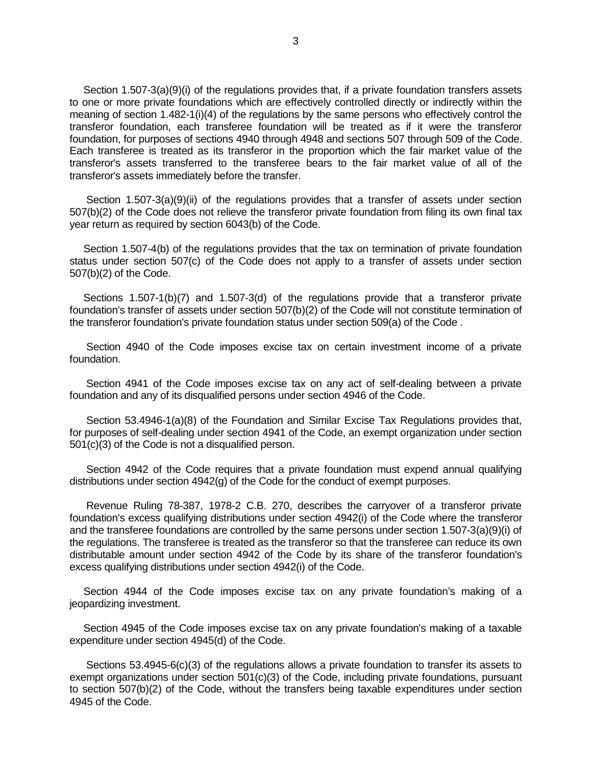Section 1.507-3(a)(9)(i) of the regulations provides that, if a private foundation transfers assets to one or more private foundations which are effectively controlled directly or indirectly within the meaning of section 1.482-1(i)(4) of the regulations by the same persons who effectively control the transferor foundation, each transferee foundation will be treated as if it were the transferor foundation, for purposes of sections 4940 through 4948 and sections 507 through 509 of the Code. Each transferee is treated as its transferor in the proportion which the fair market value of the transferor's assets transferred to the transferee bears to the fair market value of all of the transferor's assets immediately before the transfer.

 Section 1.507-3(a)(9)(ii) of the regulations provides that a transfer of assets under section 507(b)(2) of the Code does not relieve the transferor private foundation from filing its own final tax year return as required by section 6043(b) of the Code.

 Section 1.507-4(b) of the regulations provides that the tax on termination of private foundation status under section 507(c) of the Code does not apply to a transfer of assets under section 507(b)(2) of the Code.

 Sections 1.507-1(b)(7) and 1.507-3(d) of the regulations provide that a transferor private foundation's transfer of assets under section 507(b)(2) of the Code will not constitute termination of the transferor foundation's private foundation status under section 509(a) of the Code .

 Section 4940 of the Code imposes excise tax on certain investment income of a private foundation.

 Section 4941 of the Code imposes excise tax on any act of self-dealing between a private foundation and any of its disqualified persons under section 4946 of the Code.

 Section 53.4946-1(a)(8) of the Foundation and Similar Excise Tax Regulations provides that, for purposes of self-dealing under section 4941 of the Code, an exempt organization under section 501(c)(3) of the Code is not a disqualified person.

 Section 4942 of the Code requires that a private foundation must expend annual qualifying distributions under section 4942(g) of the Code for the conduct of exempt purposes.

 Revenue Ruling 78-387, 1978-2 C.B. 270, describes the carryover of a transferor private foundation's excess qualifying distributions under section 4942(i) of the Code where the transferor and the transferee foundations are controlled by the same persons under section 1.507-3(a)(9)(i) of the regulations. The transferee is treated as the transferor so that the transferee can reduce its own distributable amount under section 4942 of the Code by its share of the transferor foundation's excess qualifying distributions under section 4942(i) of the Code.

 Section 4944 of the Code imposes excise tax on any private foundation's making of a jeopardizing investment.

 Section 4945 of the Code imposes excise tax on any private foundation's making of a taxable expenditure under section 4945(d) of the Code.

 Sections 53.4945-6(c)(3) of the regulations allows a private foundation to transfer its assets to exempt organizations under section 501(c)(3) of the Code, including private foundations, pursuant to section 507(b)(2) of the Code, without the transfers being taxable expenditures under section 4945 of the Code.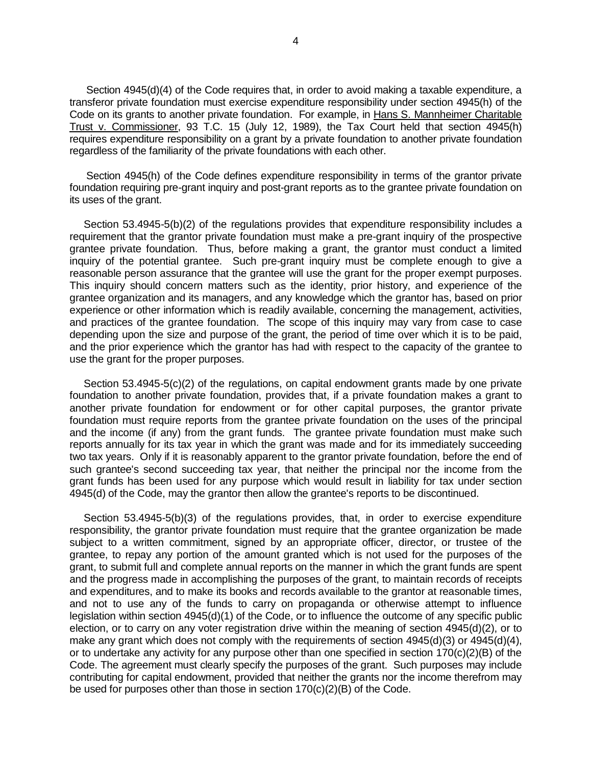Section 4945(d)(4) of the Code requires that, in order to avoid making a taxable expenditure, a transferor private foundation must exercise expenditure responsibility under section 4945(h) of the Code on its grants to another private foundation. For example, in Hans S. Mannheimer Charitable Trust v. Commissioner, 93 T.C. 15 (July 12, 1989), the Tax Court held that section 4945(h) requires expenditure responsibility on a grant by a private foundation to another private foundation regardless of the familiarity of the private foundations with each other.

 Section 4945(h) of the Code defines expenditure responsibility in terms of the grantor private foundation requiring pre-grant inquiry and post-grant reports as to the grantee private foundation on its uses of the grant.

 Section 53.4945-5(b)(2) of the regulations provides that expenditure responsibility includes a requirement that the grantor private foundation must make a pre-grant inquiry of the prospective grantee private foundation. Thus, before making a grant, the grantor must conduct a limited inquiry of the potential grantee. Such pre-grant inquiry must be complete enough to give a reasonable person assurance that the grantee will use the grant for the proper exempt purposes. This inquiry should concern matters such as the identity, prior history, and experience of the grantee organization and its managers, and any knowledge which the grantor has, based on prior experience or other information which is readily available, concerning the management, activities, and practices of the grantee foundation. The scope of this inquiry may vary from case to case depending upon the size and purpose of the grant, the period of time over which it is to be paid, and the prior experience which the grantor has had with respect to the capacity of the grantee to use the grant for the proper purposes.

 Section 53.4945-5(c)(2) of the regulations, on capital endowment grants made by one private foundation to another private foundation, provides that, if a private foundation makes a grant to another private foundation for endowment or for other capital purposes, the grantor private foundation must require reports from the grantee private foundation on the uses of the principal and the income (if any) from the grant funds. The grantee private foundation must make such reports annually for its tax year in which the grant was made and for its immediately succeeding two tax years. Only if it is reasonably apparent to the grantor private foundation, before the end of such grantee's second succeeding tax year, that neither the principal nor the income from the grant funds has been used for any purpose which would result in liability for tax under section 4945(d) of the Code, may the grantor then allow the grantee's reports to be discontinued.

 Section 53.4945-5(b)(3) of the regulations provides, that, in order to exercise expenditure responsibility, the grantor private foundation must require that the grantee organization be made subject to a written commitment, signed by an appropriate officer, director, or trustee of the grantee, to repay any portion of the amount granted which is not used for the purposes of the grant, to submit full and complete annual reports on the manner in which the grant funds are spent and the progress made in accomplishing the purposes of the grant, to maintain records of receipts and expenditures, and to make its books and records available to the grantor at reasonable times, and not to use any of the funds to carry on propaganda or otherwise attempt to influence legislation within section 4945(d)(1) of the Code, or to influence the outcome of any specific public election, or to carry on any voter registration drive within the meaning of section 4945(d)(2), or to make any grant which does not comply with the requirements of section 4945(d)(3) or 4945(d)(4), or to undertake any activity for any purpose other than one specified in section  $170(c)(2)(B)$  of the Code. The agreement must clearly specify the purposes of the grant. Such purposes may include contributing for capital endowment, provided that neither the grants nor the income therefrom may be used for purposes other than those in section 170(c)(2)(B) of the Code.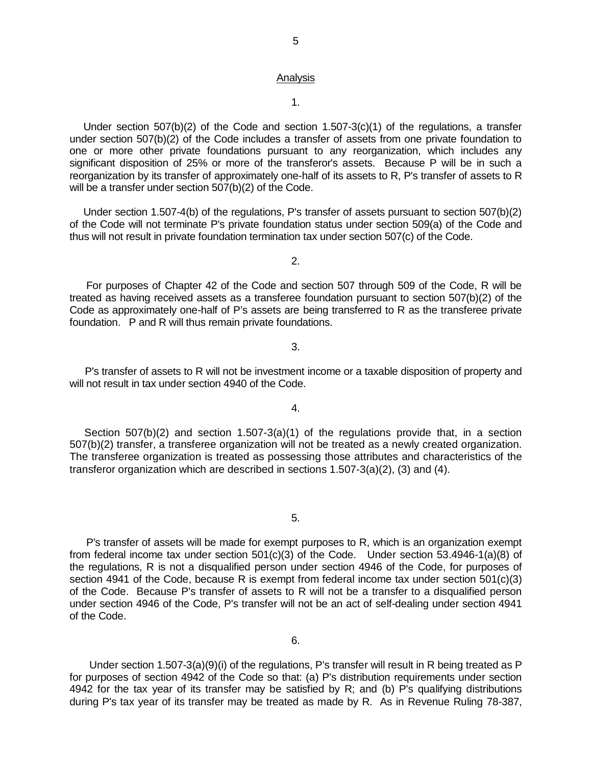## **Analysis**

1.

Under section  $507(b)(2)$  of the Code and section  $1.507-3(c)(1)$  of the regulations, a transfer under section 507(b)(2) of the Code includes a transfer of assets from one private foundation to one or more other private foundations pursuant to any reorganization, which includes any significant disposition of 25% or more of the transferor's assets. Because P will be in such a reorganization by its transfer of approximately one-half of its assets to R, P's transfer of assets to R will be a transfer under section 507(b)(2) of the Code.

 Under section 1.507-4(b) of the regulations, P's transfer of assets pursuant to section 507(b)(2) of the Code will not terminate P's private foundation status under section 509(a) of the Code and thus will not result in private foundation termination tax under section 507(c) of the Code.

2.

 For purposes of Chapter 42 of the Code and section 507 through 509 of the Code, R will be treated as having received assets as a transferee foundation pursuant to section 507(b)(2) of the Code as approximately one-half of P's assets are being transferred to R as the transferee private foundation. P and R will thus remain private foundations.

## 3.

P's transfer of assets to R will not be investment income or a taxable disposition of property and will not result in tax under section 4940 of the Code.

4.

 Section 507(b)(2) and section 1.507-3(a)(1) of the regulations provide that, in a section 507(b)(2) transfer, a transferee organization will not be treated as a newly created organization. The transferee organization is treated as possessing those attributes and characteristics of the transferor organization which are described in sections 1.507-3(a)(2), (3) and (4).

5.

P's transfer of assets will be made for exempt purposes to R, which is an organization exempt from federal income tax under section 501(c)(3) of the Code.Under section 53.4946-1(a)(8) of the regulations, R is not a disqualified person under section 4946 of the Code, for purposes of section 4941 of the Code, because R is exempt from federal income tax under section 501(c)(3) of the Code. Because P's transfer of assets to R will not be a transfer to a disqualified person under section 4946 of the Code, P's transfer will not be an act of self-dealing under section 4941 of the Code.

 Under section 1.507-3(a)(9)(i) of the regulations, P's transfer will result in R being treated as P for purposes of section 4942 of the Code so that: (a) P's distribution requirements under section 4942 for the tax year of its transfer may be satisfied by R; and (b) P's qualifying distributions during P's tax year of its transfer may be treated as made by R. As in Revenue Ruling 78-387,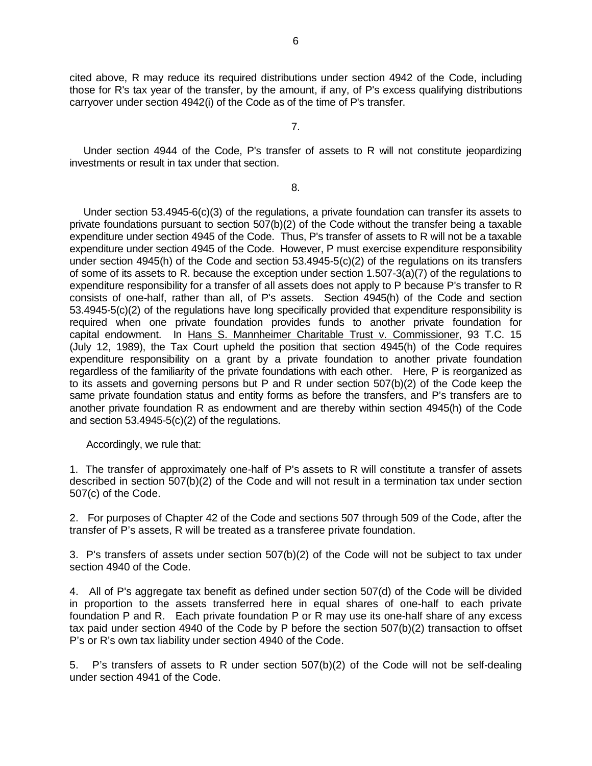cited above, R may reduce its required distributions under section 4942 of the Code, including those for R's tax year of the transfer, by the amount, if any, of P's excess qualifying distributions carryover under section 4942(i) of the Code as of the time of P's transfer.

7.

 Under section 4944 of the Code, P's transfer of assets to R will not constitute jeopardizing investments or result in tax under that section.

8.

 Under section 53.4945-6(c)(3) of the regulations, a private foundation can transfer its assets to private foundations pursuant to section 507(b)(2) of the Code without the transfer being a taxable expenditure under section 4945 of the Code. Thus, P's transfer of assets to R will not be a taxable expenditure under section 4945 of the Code. However, P must exercise expenditure responsibility under section 4945(h) of the Code and section 53.4945-5(c)(2) of the regulations on its transfers of some of its assets to R. because the exception under section 1.507-3(a)(7) of the regulations to expenditure responsibility for a transfer of all assets does not apply to P because P's transfer to R consists of one-half, rather than all, of P's assets. Section 4945(h) of the Code and section 53.4945-5(c)(2) of the regulations have long specifically provided that expenditure responsibility is required when one private foundation provides funds to another private foundation for capital endowment. In Hans S. Mannheimer Charitable Trust v. Commissioner, 93 T.C. 15 (July 12, 1989), the Tax Court upheld the position that section 4945(h) of the Code requires expenditure responsibility on a grant by a private foundation to another private foundation regardless of the familiarity of the private foundations with each other. Here, P is reorganized as to its assets and governing persons but P and R under section 507(b)(2) of the Code keep the same private foundation status and entity forms as before the transfers, and P's transfers are to another private foundation R as endowment and are thereby within section 4945(h) of the Code and section 53.4945-5(c)(2) of the regulations.

Accordingly, we rule that:

1. The transfer of approximately one-half of P's assets to R will constitute a transfer of assets described in section 507(b)(2) of the Code and will not result in a termination tax under section 507(c) of the Code.

2. For purposes of Chapter 42 of the Code and sections 507 through 509 of the Code, after the transfer of P's assets, R will be treated as a transferee private foundation.

3. P's transfers of assets under section 507(b)(2) of the Code will not be subject to tax under section 4940 of the Code.

4. All of P's aggregate tax benefit as defined under section 507(d) of the Code will be divided in proportion to the assets transferred here in equal shares of one-half to each private foundation P and R. Each private foundation P or R may use its one-half share of any excess tax paid under section 4940 of the Code by P before the section 507(b)(2) transaction to offset P's or R's own tax liability under section 4940 of the Code.

5. P's transfers of assets to R under section 507(b)(2) of the Code will not be self-dealing under section 4941 of the Code.